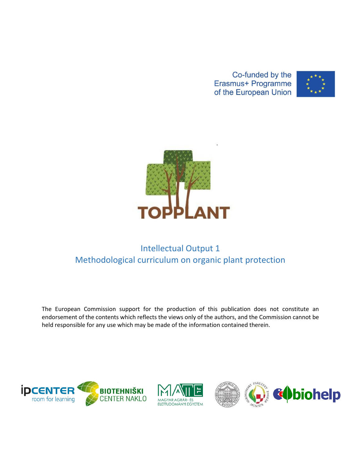Co-funded by the Erasmus+ Programme of the European Union





# Intellectual Output 1 Methodological curriculum on organic plant protection

The European Commission support for the production of this publication does not constitute an endorsement of the contents which reflects the views only of the authors, and the Commission cannot be held responsible for any use which may be made of the information contained therein.





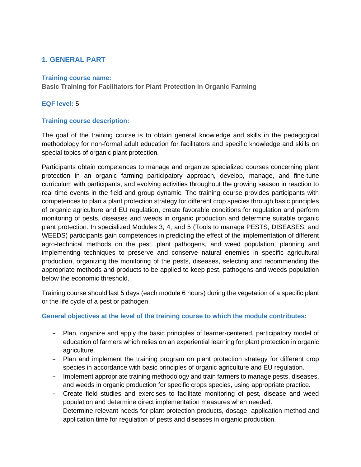## **1. GENERAL PART**

#### **Training course name:**

**Basic Training for Facilitators for Plant Protection in Organic Farming**

### **EQF level:** 5

#### **Training course description:**

The goal of the training course is to obtain general knowledge and skills in the pedagogical methodology for non-formal adult education for facilitators and specific knowledge and skills on special topics of organic plant protection.

Participants obtain competences to manage and organize specialized courses concerning plant protection in an organic farming participatory approach, develop, manage, and fine-tune curriculum with participants, and evolving activities throughout the growing season in reaction to real time events in the field and group dynamic. The training course provides participants with competences to plan a plant protection strategy for different crop species through basic principles of organic agriculture and EU regulation, create favorable conditions for regulation and perform monitoring of pests, diseases and weeds in organic production and determine suitable organic plant protection. In specialized Modules 3, 4, and 5 (Tools to manage PESTS, DISEASES, and WEEDS) participants gain competences in predicting the effect of the implementation of different agro-technical methods on the pest, plant pathogens, and weed population, planning and implementing techniques to preserve and conserve natural enemies in specific agricultural production, organizing the monitoring of the pests, diseases, selecting and recommending the appropriate methods and products to be applied to keep pest, pathogens and weeds population below the economic threshold.

Training course should last 5 days (each module 6 hours) during the vegetation of a specific plant or the life cycle of a pest or pathogen.

#### **General objectives at the level of the training course to which the module contributes:**

- − Plan, organize and apply the basic principles of learner-centered, participatory model of education of farmers which relies on an experiential learning for plant protection in organic agriculture.
- − Plan and implement the training program on plant protection strategy for different crop species in accordance with basic principles of organic agriculture and EU regulation.
- − Implement appropriate training methodology and train farmers to manage pests, diseases, and weeds in organic production for specific crops species, using appropriate practice.
- − Create field studies and exercises to facilitate monitoring of pest, disease and weed population and determine direct implementation measures when needed.
- Determine relevant needs for plant protection products, dosage, application method and application time for regulation of pests and diseases in organic production.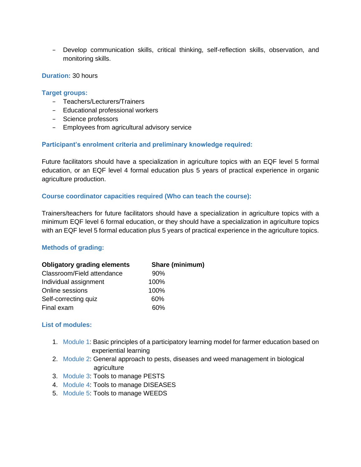− Develop communication skills, critical thinking, self-reflection skills, observation, and monitoring skills.

#### **Duration:** 30 hours

#### **Target groups:**

- − Teachers/Lecturers/Trainers
- − Educational professional workers
- − Science professors
- − Employees from agricultural advisory service

#### **Participant's enrolment criteria and preliminary knowledge required:**

Future facilitators should have a specialization in agriculture topics with an EQF level 5 formal education, or an EQF level 4 formal education plus 5 years of practical experience in organic agriculture production.

#### **Course coordinator capacities required (Who can teach the course):**

Trainers/teachers for future facilitators should have a specialization in agriculture topics with a minimum EQF level 6 formal education, or they should have a specialization in agriculture topics with an EQF level 5 formal education plus 5 years of practical experience in the agriculture topics.

#### **Methods of grading:**

| <b>Obligatory grading elements</b> | <b>Share (minimum)</b> |
|------------------------------------|------------------------|
| Classroom/Field attendance         | 90%                    |
| Individual assignment              | 100%                   |
| Online sessions                    | 100%                   |
| Self-correcting quiz               | 60%                    |
| Final exam                         | 60%                    |

#### **List of modules:**

- 1. Module 1: Basic principles of a participatory learning model for farmer education based on experiential learning
- 2. Module 2: General approach to pests, diseases and weed management in biological agriculture
- 3. Module 3: Tools to manage PESTS
- 4. Module 4: Tools to manage DISEASES
- 5. Module 5: Tools to manage WEEDS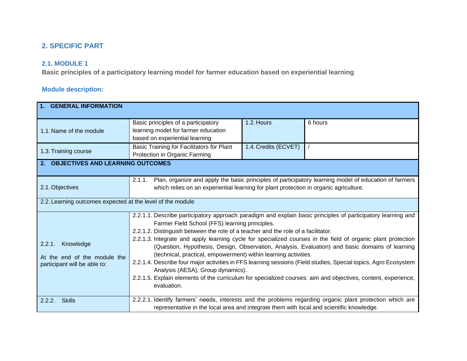## **2. SPECIFIC PART**

## **2.1. MODULE 1**

**Basic principles of a participatory learning model for farmer education based on experiential learning**

| 1. GENERAL INFORMATION                                                              |                                                                                                                                                                                                                                                                                                                                                                                                                                                                                                                                                                                                                                                                                                                                                                                                                                   |                      |         |  |
|-------------------------------------------------------------------------------------|-----------------------------------------------------------------------------------------------------------------------------------------------------------------------------------------------------------------------------------------------------------------------------------------------------------------------------------------------------------------------------------------------------------------------------------------------------------------------------------------------------------------------------------------------------------------------------------------------------------------------------------------------------------------------------------------------------------------------------------------------------------------------------------------------------------------------------------|----------------------|---------|--|
| 1.1. Name of the module                                                             | Basic principles of a participatory<br>learning model for farmer education<br>based on experiential learning                                                                                                                                                                                                                                                                                                                                                                                                                                                                                                                                                                                                                                                                                                                      | 1.2. Hours           | 6 hours |  |
| 1.3. Training course                                                                | Basic Training for Facilitators for Plant<br>Protection in Organic Farming                                                                                                                                                                                                                                                                                                                                                                                                                                                                                                                                                                                                                                                                                                                                                        | 1.4. Credits (ECVET) |         |  |
| 2. OBJECTIVES AND LEARNING OUTCOMES                                                 |                                                                                                                                                                                                                                                                                                                                                                                                                                                                                                                                                                                                                                                                                                                                                                                                                                   |                      |         |  |
| 2.1. Objectives                                                                     | Plan, organize and apply the basic principles of participatory learning model of education of farmers<br>2.1.1.<br>which relies on an experiential learning for plant protection in organic agriculture.                                                                                                                                                                                                                                                                                                                                                                                                                                                                                                                                                                                                                          |                      |         |  |
| 2.2. Learning outcomes expected at the level of the module                          |                                                                                                                                                                                                                                                                                                                                                                                                                                                                                                                                                                                                                                                                                                                                                                                                                                   |                      |         |  |
| Knowledge<br>2.2.1.<br>At the end of the module the<br>participant will be able to: | 2.2.1.1. Describe participatory approach paradigm and explain basic principles of participatory learning and<br>Farmer Field School (FFS) learning principles.<br>2.2.1.2. Distinguish between the role of a teacher and the role of a facilitator.<br>2.2.1.3. Integrate and apply learning cycle for specialized courses in the field of organic plant protection<br>(Question, Hypothesis, Design, Observation, Analysis, Evaluation) and basic domains of learning<br>(technical, practical, empowerment) within learning activities.<br>2.2.1.4. Describe four major activities in FFS learning sessions (Field studies, Special topics, Agro Ecosystem<br>Analysis (AESA), Group dynamics).<br>2.2.1.5. Explain elements of the curriculum for specialized courses: aim and objectives, content, experience,<br>evaluation. |                      |         |  |
| <b>Skills</b><br>2.2.2.                                                             | 2.2.2.1. Identify farmers' needs, interests and the problems regarding organic plant protection which are<br>representative in the local area and integrate them with local and scientific knowledge.                                                                                                                                                                                                                                                                                                                                                                                                                                                                                                                                                                                                                             |                      |         |  |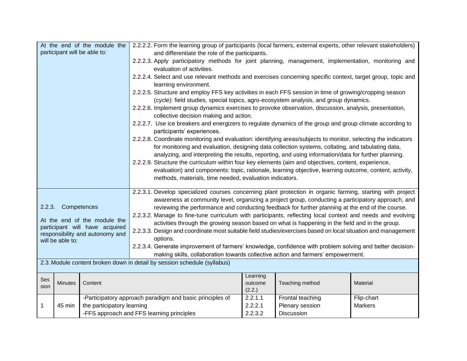| At the end of the module the<br>2.2.2.2. Form the learning group of participants (local farmers, external experts, other relevant stakeholders) |                  |                                 |                                                                                                                                                                                                                  |                   |                  |                |
|-------------------------------------------------------------------------------------------------------------------------------------------------|------------------|---------------------------------|------------------------------------------------------------------------------------------------------------------------------------------------------------------------------------------------------------------|-------------------|------------------|----------------|
|                                                                                                                                                 |                  | participant will be able to:    | and differentiate the role of the participants.                                                                                                                                                                  |                   |                  |                |
|                                                                                                                                                 |                  |                                 | 2.2.2.3. Apply participatory methods for joint planning, management, implementation, monitoring and                                                                                                              |                   |                  |                |
|                                                                                                                                                 |                  |                                 | evaluation of activities.                                                                                                                                                                                        |                   |                  |                |
|                                                                                                                                                 |                  |                                 | 2.2.2.4. Select and use relevant methods and exercises concerning specific context, target group, topic and<br>learning environment.                                                                             |                   |                  |                |
|                                                                                                                                                 |                  |                                 | 2.2.2.5. Structure and employ FFS key activities in each FFS session in time of growing/cropping season                                                                                                          |                   |                  |                |
|                                                                                                                                                 |                  |                                 | (cycle): field studies, special topics, agro-ecosystem analysis, and group dynamics.                                                                                                                             |                   |                  |                |
|                                                                                                                                                 |                  |                                 | 2.2.2.6. Implement group dynamics exercises to provoke observation, discussion, analysis, presentation,                                                                                                          |                   |                  |                |
|                                                                                                                                                 |                  |                                 | collective decision making and action.                                                                                                                                                                           |                   |                  |                |
| 2.2.2.7. Use ice breakers and energizers to regulate dynamics of the group and group climate according to<br>participants' experiences.         |                  |                                 |                                                                                                                                                                                                                  |                   |                  |                |
|                                                                                                                                                 |                  |                                 | 2.2.2.8. Coordinate monitoring and evaluation: identifying areas/subjects to monitor, selecting the indicators                                                                                                   |                   |                  |                |
| for monitoring and evaluation, designing data collection systems, collating, and tabulating data,                                               |                  |                                 |                                                                                                                                                                                                                  |                   |                  |                |
| analyzing, and interpreting the results, reporting, and using information/data for further planning.                                            |                  |                                 |                                                                                                                                                                                                                  |                   |                  |                |
| 2.2.2.9. Structure the curriculum within four key elements (aim and objectives, content, experience,                                            |                  |                                 |                                                                                                                                                                                                                  |                   |                  |                |
|                                                                                                                                                 |                  |                                 | evaluation) and components: topic, rationale, learning objective, learning outcome, content, activity,                                                                                                           |                   |                  |                |
|                                                                                                                                                 |                  |                                 | methods, materials, time needed, evaluation indicators.                                                                                                                                                          |                   |                  |                |
|                                                                                                                                                 |                  |                                 |                                                                                                                                                                                                                  |                   |                  |                |
|                                                                                                                                                 |                  |                                 | 2.2.3.1. Develop specialized courses concerning plant protection in organic farming, starting with project<br>awareness at community level, organizing a project group, conducting a participatory approach, and |                   |                  |                |
| 2.2.3.                                                                                                                                          | Competences      |                                 | reviewing the performance and conducting feedback for further planning at the end of the course.                                                                                                                 |                   |                  |                |
|                                                                                                                                                 |                  |                                 | 2.2.3.2. Manage to fine-tune curriculum with participants, reflecting local context and needs and evolving                                                                                                       |                   |                  |                |
|                                                                                                                                                 |                  | At the end of the module the    | activities through the growing season based on what is happening in the field and in the group.                                                                                                                  |                   |                  |                |
|                                                                                                                                                 |                  | participant will have acquired  | 2.2.3.3. Design and coordinate most suitable field studies/exercises based on local situation and management                                                                                                     |                   |                  |                |
|                                                                                                                                                 | will be able to: | responsibility and autonomy and | options.                                                                                                                                                                                                         |                   |                  |                |
|                                                                                                                                                 |                  |                                 | 2.2.3.4. Generate improvement of farmers' knowledge, confidence with problem solving and better decision-                                                                                                        |                   |                  |                |
|                                                                                                                                                 |                  |                                 | making skills, collaboration towards collective action and farmers' empowerment.                                                                                                                                 |                   |                  |                |
|                                                                                                                                                 |                  |                                 | 2.3. Module content broken down in detail by session schedule (syllabus)                                                                                                                                         |                   |                  |                |
|                                                                                                                                                 |                  |                                 |                                                                                                                                                                                                                  |                   |                  |                |
| Ses                                                                                                                                             |                  |                                 |                                                                                                                                                                                                                  | Learning          |                  |                |
| sion                                                                                                                                            | <b>Minutes</b>   | Content                         |                                                                                                                                                                                                                  | outcome<br>(2.2.) | Teaching method  | Material       |
|                                                                                                                                                 |                  |                                 | -Participatory approach paradigm and basic principles of                                                                                                                                                         | 2.2.1.1           | Frontal teaching | Flip-chart     |
| $\mathbf 1$                                                                                                                                     | 45 min           | the participatory learning      |                                                                                                                                                                                                                  | 2.2.2.1           | Plenary session  | <b>Markers</b> |
|                                                                                                                                                 |                  |                                 | -FFS approach and FFS learning principles                                                                                                                                                                        | 2.2.3.2           | Discussion       |                |
|                                                                                                                                                 |                  |                                 |                                                                                                                                                                                                                  |                   |                  |                |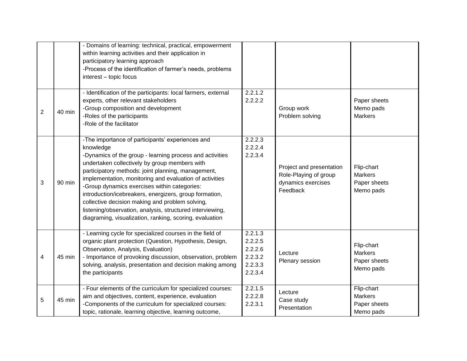|                |        | - Domains of learning: technical, practical, empowerment<br>within learning activities and their application in<br>participatory learning approach<br>-Process of the identification of farmer's needs, problems<br>interest - topic focus                                                                                                                                                                                                                                                                                                                                       |                                                                |                                                                                     |                                                           |
|----------------|--------|----------------------------------------------------------------------------------------------------------------------------------------------------------------------------------------------------------------------------------------------------------------------------------------------------------------------------------------------------------------------------------------------------------------------------------------------------------------------------------------------------------------------------------------------------------------------------------|----------------------------------------------------------------|-------------------------------------------------------------------------------------|-----------------------------------------------------------|
| $\overline{2}$ | 40 min | - Identification of the participants: local farmers, external<br>experts, other relevant stakeholders<br>-Group composition and development<br>-Roles of the participants<br>-Role of the facilitator                                                                                                                                                                                                                                                                                                                                                                            | 2.2.1.2<br>2.2.2.2                                             | Group work<br>Problem solving                                                       | Paper sheets<br>Memo pads<br><b>Markers</b>               |
| 3              | 90 min | -The importance of participants' experiences and<br>knowledge<br>-Dynamics of the group - learning process and activities<br>undertaken collectively by group members with<br>participatory methods: joint planning, management,<br>implementation, monitoring and evaluation of activities<br>-Group dynamics exercises within categories:<br>introduction/icebreakers, energizers, group formation,<br>collective decision making and problem solving,<br>listening/observation, analysis, structured interviewing,<br>diagraming, visualization, ranking, scoring, evaluation | 2.2.2.3<br>2.2.2.4<br>2.2.3.4                                  | Project and presentation<br>Role-Playing of group<br>dynamics exercises<br>Feedback | Flip-chart<br>Markers<br>Paper sheets<br>Memo pads        |
| 4              | 45 min | - Learning cycle for specialized courses in the field of<br>organic plant protection (Question, Hypothesis, Design,<br>Observation, Analysis, Evaluation)<br>- Importance of provoking discussion, observation, problem<br>solving, analysis, presentation and decision making among<br>the participants                                                                                                                                                                                                                                                                         | 2.2.1.3<br>2.2.2.5<br>2.2.2.6<br>2.2.3.2<br>2.2.3.3<br>2.2.3.4 | Lecture<br>Plenary session                                                          | Flip-chart<br><b>Markers</b><br>Paper sheets<br>Memo pads |
| 5              | 45 min | - Four elements of the curriculum for specialized courses:<br>aim and objectives, content, experience, evaluation<br>-Components of the curriculum for specialized courses:<br>topic, rationale, learning objective, learning outcome,                                                                                                                                                                                                                                                                                                                                           | 2.2.1.5<br>2.2.2.8<br>2.2.3.1                                  | Lecture<br>Case study<br>Presentation                                               | Flip-chart<br><b>Markers</b><br>Paper sheets<br>Memo pads |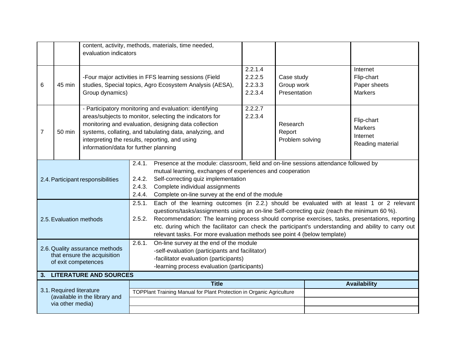| content, activity, methods, materials, time needed,                                                                                                                                                                                                                                                                                                                                                                                                                                                                            |                                                                                                                                                                                                                                                                                                                                           |                                          |                                                                      |                                                          |                                       |                                                              |
|--------------------------------------------------------------------------------------------------------------------------------------------------------------------------------------------------------------------------------------------------------------------------------------------------------------------------------------------------------------------------------------------------------------------------------------------------------------------------------------------------------------------------------|-------------------------------------------------------------------------------------------------------------------------------------------------------------------------------------------------------------------------------------------------------------------------------------------------------------------------------------------|------------------------------------------|----------------------------------------------------------------------|----------------------------------------------------------|---------------------------------------|--------------------------------------------------------------|
|                                                                                                                                                                                                                                                                                                                                                                                                                                                                                                                                |                                                                                                                                                                                                                                                                                                                                           | evaluation indicators                    |                                                                      |                                                          |                                       |                                                              |
| -Four major activities in FFS learning sessions (Field<br>studies, Special topics, Agro Ecosystem Analysis (AESA),<br>6<br>45 min<br>Group dynamics)                                                                                                                                                                                                                                                                                                                                                                           |                                                                                                                                                                                                                                                                                                                                           | 2.2.1.4<br>2.2.2.5<br>2.2.3.3<br>2.2.3.4 | Case study<br>Group work<br>Presentation                             | Internet<br>Flip-chart<br>Paper sheets<br><b>Markers</b> |                                       |                                                              |
| $\overline{7}$                                                                                                                                                                                                                                                                                                                                                                                                                                                                                                                 | - Participatory monitoring and evaluation: identifying<br>areas/subjects to monitor, selecting the indicators for<br>monitoring and evaluation, designing data collection<br>systems, collating, and tabulating data, analyzing, and<br>50 min<br>interpreting the results, reporting, and using<br>information/data for further planning |                                          |                                                                      | 2.2.2.7<br>2.2.3.4                                       | Research<br>Report<br>Problem solving | Flip-chart<br><b>Markers</b><br>Internet<br>Reading material |
| Presence at the module: classroom, field and on-line sessions attendance followed by<br>2.4.1.<br>mutual learning, exchanges of experiences and cooperation<br>Self-correcting quiz implementation<br>2.4.2.<br>2.4. Participant responsibilities<br>2.4.3.<br>Complete individual assignments<br>2.4.4.<br>Complete on-line survey at the end of the module                                                                                                                                                                   |                                                                                                                                                                                                                                                                                                                                           |                                          |                                                                      |                                                          |                                       |                                                              |
| 2.5.1.<br>Each of the learning outcomes (in 2.2.) should be evaluated with at least 1 or 2 relevant<br>questions/tasks/assignments using an on-line Self-correcting quiz (reach the minimum 60 %).<br>Recommendation: The learning process should comprise exercises, tasks, presentations, reporting<br>2.5. Evaluation methods<br>2.5.2.<br>etc. during which the facilitator can check the participant's understanding and ability to carry out<br>relevant tasks. For more evaluation methods see point 4 (below template) |                                                                                                                                                                                                                                                                                                                                           |                                          |                                                                      |                                                          |                                       |                                                              |
| 2.6.1.<br>On-line survey at the end of the module<br>2.6. Quality assurance methods<br>-self-evaluation (participants and facilitator)<br>that ensure the acquisition<br>-facilitator evaluation (participants)<br>of exit competences<br>-learning process evaluation (participants)                                                                                                                                                                                                                                          |                                                                                                                                                                                                                                                                                                                                           |                                          |                                                                      |                                                          |                                       |                                                              |
|                                                                                                                                                                                                                                                                                                                                                                                                                                                                                                                                |                                                                                                                                                                                                                                                                                                                                           | 3. LITERATURE AND SOURCES                |                                                                      |                                                          |                                       |                                                              |
|                                                                                                                                                                                                                                                                                                                                                                                                                                                                                                                                | 3.1. Required literature                                                                                                                                                                                                                                                                                                                  |                                          | <b>Title</b>                                                         |                                                          |                                       | <b>Availability</b>                                          |
|                                                                                                                                                                                                                                                                                                                                                                                                                                                                                                                                | via other media)                                                                                                                                                                                                                                                                                                                          | (available in the library and            | TOPPlant Training Manual for Plant Protection in Organic Agriculture |                                                          |                                       |                                                              |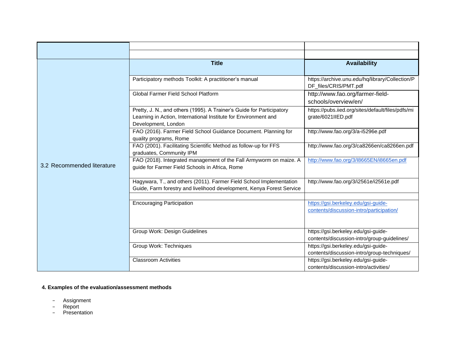|                            | <b>Title</b>                                                                                                                                                    | <b>Availability</b>                                                                |
|----------------------------|-----------------------------------------------------------------------------------------------------------------------------------------------------------------|------------------------------------------------------------------------------------|
|                            | Participatory methods Toolkit: A practitioner's manual                                                                                                          | https://archive.unu.edu/hq/library/Collection/P<br>DF_files/CRIS/PMT.pdf           |
|                            | Global Farmer Field School Platform                                                                                                                             | http://www.fao.org/farmer-field-<br>schools/overview/en/                           |
|                            | Pretty, J. N., and others (1995). A Trainer's Guide for Participatory<br>Learning in Action, International Institute for Environment and<br>Development, London | https://pubs.iied.org/sites/default/files/pdfs/mi<br>grate/6021IIED.pdf            |
|                            | FAO (2016). Farmer Field School Guidance Document. Planning for<br>quality programs, Rome                                                                       | http://www.fao.org/3/a-i5296e.pdf                                                  |
|                            | FAO (2001). Facilitating Scientific Method as follow-up for FFS<br>graduates, Community IPM                                                                     | http://www.fao.org/3/ca8266en/ca8266en.pdf                                         |
| 3.2 Recommended literature | FAO (2018). Integrated management of the Fall Armyworm on maize. A<br>guide for Farmer Field Schools in Africa, Rome                                            | http://www.fao.org/3/I8665EN/i8665en.pdf                                           |
|                            | Hagywara, T., and others (2011). Farmer Field School Implementation<br>Guide, Farm forestry and livelihood development, Kenya Forest Service                    | http://www.fao.org/3/i2561e/i2561e.pdf                                             |
|                            | <b>Encouraging Participation</b>                                                                                                                                | https://gsi.berkeley.edu/gsi-guide-<br>contents/discussion-intro/participation/    |
|                            | Group Work: Design Guidelines                                                                                                                                   | https://gsi.berkeley.edu/gsi-guide-<br>contents/discussion-intro/group-guidelines/ |
|                            | Group Work: Techniques                                                                                                                                          | https://gsi.berkeley.edu/gsi-guide-<br>contents/discussion-intro/group-techniques/ |
|                            | <b>Classroom Activities</b>                                                                                                                                     | https://gsi.berkeley.edu/gsi-guide-<br>contents/discussion-intro/activities/       |

- − Assignment
- − Report
- − Presentation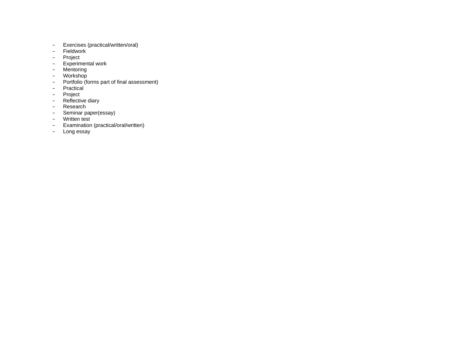- − Exercises (practical/written/oral)
- − Fieldwork
- − Project
- − Experimental work
- − Mentoring
- − Workshop
- − Portfolio (forms part of final assessment)
- − Practical
- − Project
- − Reflective diary
- − Research
- − Seminar paper(essay)
- − Written test
- − Examination (practical/oral/written)
- − Long essay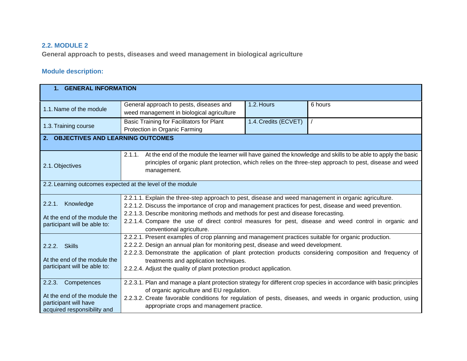## **2.2. MODULE 2**

**General approach to pests, diseases and weed management in biological agriculture**

| 1. GENERAL INFORMATION                                                                                        |                                                                                                                                                                                                                                                                                                                                                                                                                                              |                      |         |  |  |
|---------------------------------------------------------------------------------------------------------------|----------------------------------------------------------------------------------------------------------------------------------------------------------------------------------------------------------------------------------------------------------------------------------------------------------------------------------------------------------------------------------------------------------------------------------------------|----------------------|---------|--|--|
| 1.1. Name of the module                                                                                       | General approach to pests, diseases and<br>weed management in biological agriculture                                                                                                                                                                                                                                                                                                                                                         | 1.2. Hours           | 6 hours |  |  |
| 1.3. Training course                                                                                          | Basic Training for Facilitators for Plant<br>Protection in Organic Farming                                                                                                                                                                                                                                                                                                                                                                   | 1.4. Credits (ECVET) |         |  |  |
| 2. OBJECTIVES AND LEARNING OUTCOMES                                                                           |                                                                                                                                                                                                                                                                                                                                                                                                                                              |                      |         |  |  |
| 2.1. Objectives                                                                                               | 2.1.1.<br>At the end of the module the learner will have gained the knowledge and skills to be able to apply the basic<br>principles of organic plant protection, which relies on the three-step approach to pest, disease and weed<br>management.                                                                                                                                                                                           |                      |         |  |  |
| 2.2. Learning outcomes expected at the level of the module                                                    |                                                                                                                                                                                                                                                                                                                                                                                                                                              |                      |         |  |  |
| Knowledge<br>2.2.1.<br>At the end of the module the<br>participant will be able to:                           | 2.2.1.1. Explain the three-step approach to pest, disease and weed management in organic agriculture.<br>2.2.1.2. Discuss the importance of crop and management practices for pest, disease and weed prevention.<br>2.2.1.3. Describe monitoring methods and methods for pest and disease forecasting.<br>2.2.1.4. Compare the use of direct control measures for pest, disease and weed control in organic and<br>conventional agriculture. |                      |         |  |  |
| 2.2.2. Skills<br>At the end of the module the<br>participant will be able to:                                 | 2.2.2.1. Present examples of crop planning and management practices suitable for organic production.<br>2.2.2.2. Design an annual plan for monitoring pest, disease and weed development.<br>2.2.2.3. Demonstrate the application of plant protection products considering composition and frequency of<br>treatments and application techniques.<br>2.2.2.4. Adjust the quality of plant protection product application.                    |                      |         |  |  |
| 2.2.3.<br>Competences<br>At the end of the module the<br>participant will have<br>acquired responsibility and | 2.2.3.1. Plan and manage a plant protection strategy for different crop species in accordance with basic principles<br>of organic agriculture and EU regulation.<br>2.2.3.2. Create favorable conditions for regulation of pests, diseases, and weeds in organic production, using<br>appropriate crops and management practice.                                                                                                             |                      |         |  |  |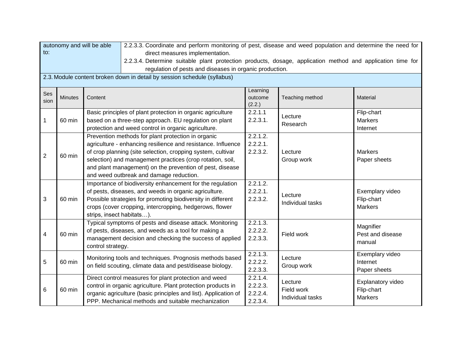| autonomy and will be able<br>2.2.3.3. Coordinate and perform monitoring of pest, disease and weed population and determine the need for |                |                                                    |                                                                                                            |                   |                  |                   |  |  |
|-----------------------------------------------------------------------------------------------------------------------------------------|----------------|----------------------------------------------------|------------------------------------------------------------------------------------------------------------|-------------------|------------------|-------------------|--|--|
| $\mathsf{to}:$                                                                                                                          |                |                                                    | direct measures implementation.                                                                            |                   |                  |                   |  |  |
|                                                                                                                                         |                |                                                    | 2.2.3.4. Determine suitable plant protection products, dosage, application method and application time for |                   |                  |                   |  |  |
|                                                                                                                                         |                |                                                    | regulation of pests and diseases in organic production.                                                    |                   |                  |                   |  |  |
|                                                                                                                                         |                |                                                    | 2.3. Module content broken down in detail by session schedule (syllabus)                                   |                   |                  |                   |  |  |
|                                                                                                                                         |                |                                                    |                                                                                                            |                   |                  |                   |  |  |
| Ses                                                                                                                                     |                |                                                    |                                                                                                            | Learning          |                  |                   |  |  |
| sion                                                                                                                                    | <b>Minutes</b> | Content                                            |                                                                                                            | outcome<br>(2.2.) | Teaching method  | Material          |  |  |
|                                                                                                                                         |                |                                                    | Basic principles of plant protection in organic agriculture                                                | 2.2.1.1           |                  | Flip-chart        |  |  |
| 1                                                                                                                                       | 60 min         |                                                    | based on a three-step approach. EU regulation on plant                                                     | 2.2.3.1.          | Lecture          | <b>Markers</b>    |  |  |
|                                                                                                                                         |                |                                                    | protection and weed control in organic agriculture.                                                        |                   | Research         | Internet          |  |  |
|                                                                                                                                         |                |                                                    | Prevention methods for plant protection in organic                                                         | 2.2.1.2.          |                  |                   |  |  |
|                                                                                                                                         |                |                                                    | agriculture - enhancing resilience and resistance. Influence                                               | 2.2.2.1.          |                  |                   |  |  |
|                                                                                                                                         |                |                                                    | of crop planning (site selection, cropping system, cultivar                                                | 2.2.3.2.          | Lecture          | <b>Markers</b>    |  |  |
| $\overline{2}$                                                                                                                          | 60 min         |                                                    | selection) and management practices (crop rotation, soil,                                                  |                   | Group work       | Paper sheets      |  |  |
|                                                                                                                                         |                |                                                    | and plant management) on the prevention of pest, disease                                                   |                   |                  |                   |  |  |
|                                                                                                                                         |                |                                                    | and weed outbreak and damage reduction.                                                                    |                   |                  |                   |  |  |
|                                                                                                                                         |                |                                                    | Importance of biodiversity enhancement for the regulation                                                  | 2.2.1.2.          |                  |                   |  |  |
|                                                                                                                                         |                |                                                    | of pests, diseases, and weeds in organic agriculture.                                                      | 2.2.2.1.          |                  | Exemplary video   |  |  |
| $\mathfrak{S}$                                                                                                                          | 60 min         |                                                    | Possible strategies for promoting biodiversity in different                                                | 2.2.3.2.          | Lecture          | Flip-chart        |  |  |
|                                                                                                                                         |                |                                                    | crops (cover cropping, intercropping, hedgerows, flower                                                    |                   | Individual tasks | <b>Markers</b>    |  |  |
|                                                                                                                                         |                | strips, insect habitats).                          |                                                                                                            |                   |                  |                   |  |  |
|                                                                                                                                         |                |                                                    | Typical symptoms of pests and disease attack. Monitoring                                                   | 2.2.1.3.          |                  |                   |  |  |
|                                                                                                                                         |                |                                                    | of pests, diseases, and weeds as a tool for making a                                                       | 2.2.2.2.          |                  | Magnifier         |  |  |
| $\overline{\mathbf{4}}$                                                                                                                 | 60 min         |                                                    | management decision and checking the success of applied                                                    | 2.2.3.3.          | Field work       | Pest and disease  |  |  |
|                                                                                                                                         |                | control strategy.                                  |                                                                                                            |                   |                  | manual            |  |  |
|                                                                                                                                         |                |                                                    |                                                                                                            | 2.2.1.3.          |                  | Exemplary video   |  |  |
| 5                                                                                                                                       | 60 min         |                                                    | Monitoring tools and techniques. Prognosis methods based                                                   | 2.2.2.2.          | Lecture          | Internet          |  |  |
|                                                                                                                                         |                |                                                    | on field scouting, climate data and pest/disease biology.                                                  | 2.2.3.3.          | Group work       | Paper sheets      |  |  |
|                                                                                                                                         |                |                                                    | Direct control measures for plant protection and weed                                                      | 2.2.1.4.          | Lecture          |                   |  |  |
|                                                                                                                                         |                |                                                    | control in organic agriculture. Plant protection products in                                               | 2.2.2.3.          | Field work       | Explanatory video |  |  |
| 6                                                                                                                                       |                | 60 min                                             | organic agriculture (basic principles and list). Application of                                            | 2.2.2.4.          |                  | Flip-chart        |  |  |
|                                                                                                                                         |                | PPP. Mechanical methods and suitable mechanization |                                                                                                            | 2.2.3.4.          | Individual tasks | <b>Markers</b>    |  |  |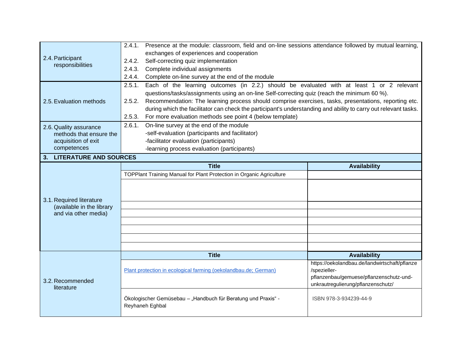| exchanges of experiences and cooperation<br>2.4. Participant<br>Self-correcting quiz implementation<br>2.4.2.<br>responsibilities<br>Complete individual assignments<br>2.4.3.<br>Complete on-line survey at the end of the module<br>2.4.4.<br>Each of the learning outcomes (in 2.2.) should be evaluated with at least 1 or 2 relevant<br>2.5.1.<br>questions/tasks/assignments using an on-line Self-correcting quiz (reach the minimum 60 %).<br>Recommendation: The learning process should comprise exercises, tasks, presentations, reporting etc.<br>2.5.2.<br>2.5. Evaluation methods<br>during which the facilitator can check the participant's understanding and ability to carry out relevant tasks.<br>For more evaluation methods see point 4 (below template)<br>2.5.3.<br>On-line survey at the end of the module<br>2.6.1.<br>2.6. Quality assurance<br>-self-evaluation (participants and facilitator)<br>methods that ensure the<br>-facilitator evaluation (participants)<br>acquisition of exit<br>competences<br>-learning process evaluation (participants)<br>3. LITERATURE AND SOURCES<br><b>Title</b><br><b>Availability</b><br>TOPPlant Training Manual for Plant Protection in Organic Agriculture<br>3.1. Required literature<br>(available in the library<br>and via other media)<br><b>Title</b><br><b>Availability</b><br>https://oekolandbau.de/landwirtschaft/pflanze<br>Plant protection in ecological farming (oekolandbau.de; German)<br>/spezieller-<br>pflanzenbau/gemuese/pflanzenschutz-und-<br>3.2. Recommended<br>unkrautregulierung/pflanzenschutz/<br>literature<br>Ökologischer Gemüsebau - "Handbuch für Beratung und Praxis" -<br>ISBN 978-3-934239-44-9<br>Reyhaneh Eghbal | Presence at the module: classroom, field and on-line sessions attendance followed by mutual learning,<br>2.4.1. |  |  |  |  |  |
|-------------------------------------------------------------------------------------------------------------------------------------------------------------------------------------------------------------------------------------------------------------------------------------------------------------------------------------------------------------------------------------------------------------------------------------------------------------------------------------------------------------------------------------------------------------------------------------------------------------------------------------------------------------------------------------------------------------------------------------------------------------------------------------------------------------------------------------------------------------------------------------------------------------------------------------------------------------------------------------------------------------------------------------------------------------------------------------------------------------------------------------------------------------------------------------------------------------------------------------------------------------------------------------------------------------------------------------------------------------------------------------------------------------------------------------------------------------------------------------------------------------------------------------------------------------------------------------------------------------------------------------------------------------------------------------------------------------------------------|-----------------------------------------------------------------------------------------------------------------|--|--|--|--|--|
|                                                                                                                                                                                                                                                                                                                                                                                                                                                                                                                                                                                                                                                                                                                                                                                                                                                                                                                                                                                                                                                                                                                                                                                                                                                                                                                                                                                                                                                                                                                                                                                                                                                                                                                               |                                                                                                                 |  |  |  |  |  |
|                                                                                                                                                                                                                                                                                                                                                                                                                                                                                                                                                                                                                                                                                                                                                                                                                                                                                                                                                                                                                                                                                                                                                                                                                                                                                                                                                                                                                                                                                                                                                                                                                                                                                                                               |                                                                                                                 |  |  |  |  |  |
|                                                                                                                                                                                                                                                                                                                                                                                                                                                                                                                                                                                                                                                                                                                                                                                                                                                                                                                                                                                                                                                                                                                                                                                                                                                                                                                                                                                                                                                                                                                                                                                                                                                                                                                               |                                                                                                                 |  |  |  |  |  |
|                                                                                                                                                                                                                                                                                                                                                                                                                                                                                                                                                                                                                                                                                                                                                                                                                                                                                                                                                                                                                                                                                                                                                                                                                                                                                                                                                                                                                                                                                                                                                                                                                                                                                                                               |                                                                                                                 |  |  |  |  |  |
|                                                                                                                                                                                                                                                                                                                                                                                                                                                                                                                                                                                                                                                                                                                                                                                                                                                                                                                                                                                                                                                                                                                                                                                                                                                                                                                                                                                                                                                                                                                                                                                                                                                                                                                               |                                                                                                                 |  |  |  |  |  |
|                                                                                                                                                                                                                                                                                                                                                                                                                                                                                                                                                                                                                                                                                                                                                                                                                                                                                                                                                                                                                                                                                                                                                                                                                                                                                                                                                                                                                                                                                                                                                                                                                                                                                                                               |                                                                                                                 |  |  |  |  |  |
|                                                                                                                                                                                                                                                                                                                                                                                                                                                                                                                                                                                                                                                                                                                                                                                                                                                                                                                                                                                                                                                                                                                                                                                                                                                                                                                                                                                                                                                                                                                                                                                                                                                                                                                               |                                                                                                                 |  |  |  |  |  |
|                                                                                                                                                                                                                                                                                                                                                                                                                                                                                                                                                                                                                                                                                                                                                                                                                                                                                                                                                                                                                                                                                                                                                                                                                                                                                                                                                                                                                                                                                                                                                                                                                                                                                                                               |                                                                                                                 |  |  |  |  |  |
|                                                                                                                                                                                                                                                                                                                                                                                                                                                                                                                                                                                                                                                                                                                                                                                                                                                                                                                                                                                                                                                                                                                                                                                                                                                                                                                                                                                                                                                                                                                                                                                                                                                                                                                               |                                                                                                                 |  |  |  |  |  |
|                                                                                                                                                                                                                                                                                                                                                                                                                                                                                                                                                                                                                                                                                                                                                                                                                                                                                                                                                                                                                                                                                                                                                                                                                                                                                                                                                                                                                                                                                                                                                                                                                                                                                                                               |                                                                                                                 |  |  |  |  |  |
|                                                                                                                                                                                                                                                                                                                                                                                                                                                                                                                                                                                                                                                                                                                                                                                                                                                                                                                                                                                                                                                                                                                                                                                                                                                                                                                                                                                                                                                                                                                                                                                                                                                                                                                               |                                                                                                                 |  |  |  |  |  |
|                                                                                                                                                                                                                                                                                                                                                                                                                                                                                                                                                                                                                                                                                                                                                                                                                                                                                                                                                                                                                                                                                                                                                                                                                                                                                                                                                                                                                                                                                                                                                                                                                                                                                                                               |                                                                                                                 |  |  |  |  |  |
|                                                                                                                                                                                                                                                                                                                                                                                                                                                                                                                                                                                                                                                                                                                                                                                                                                                                                                                                                                                                                                                                                                                                                                                                                                                                                                                                                                                                                                                                                                                                                                                                                                                                                                                               |                                                                                                                 |  |  |  |  |  |
|                                                                                                                                                                                                                                                                                                                                                                                                                                                                                                                                                                                                                                                                                                                                                                                                                                                                                                                                                                                                                                                                                                                                                                                                                                                                                                                                                                                                                                                                                                                                                                                                                                                                                                                               |                                                                                                                 |  |  |  |  |  |
|                                                                                                                                                                                                                                                                                                                                                                                                                                                                                                                                                                                                                                                                                                                                                                                                                                                                                                                                                                                                                                                                                                                                                                                                                                                                                                                                                                                                                                                                                                                                                                                                                                                                                                                               |                                                                                                                 |  |  |  |  |  |
|                                                                                                                                                                                                                                                                                                                                                                                                                                                                                                                                                                                                                                                                                                                                                                                                                                                                                                                                                                                                                                                                                                                                                                                                                                                                                                                                                                                                                                                                                                                                                                                                                                                                                                                               |                                                                                                                 |  |  |  |  |  |
|                                                                                                                                                                                                                                                                                                                                                                                                                                                                                                                                                                                                                                                                                                                                                                                                                                                                                                                                                                                                                                                                                                                                                                                                                                                                                                                                                                                                                                                                                                                                                                                                                                                                                                                               |                                                                                                                 |  |  |  |  |  |
|                                                                                                                                                                                                                                                                                                                                                                                                                                                                                                                                                                                                                                                                                                                                                                                                                                                                                                                                                                                                                                                                                                                                                                                                                                                                                                                                                                                                                                                                                                                                                                                                                                                                                                                               |                                                                                                                 |  |  |  |  |  |
|                                                                                                                                                                                                                                                                                                                                                                                                                                                                                                                                                                                                                                                                                                                                                                                                                                                                                                                                                                                                                                                                                                                                                                                                                                                                                                                                                                                                                                                                                                                                                                                                                                                                                                                               |                                                                                                                 |  |  |  |  |  |
|                                                                                                                                                                                                                                                                                                                                                                                                                                                                                                                                                                                                                                                                                                                                                                                                                                                                                                                                                                                                                                                                                                                                                                                                                                                                                                                                                                                                                                                                                                                                                                                                                                                                                                                               |                                                                                                                 |  |  |  |  |  |
|                                                                                                                                                                                                                                                                                                                                                                                                                                                                                                                                                                                                                                                                                                                                                                                                                                                                                                                                                                                                                                                                                                                                                                                                                                                                                                                                                                                                                                                                                                                                                                                                                                                                                                                               |                                                                                                                 |  |  |  |  |  |
|                                                                                                                                                                                                                                                                                                                                                                                                                                                                                                                                                                                                                                                                                                                                                                                                                                                                                                                                                                                                                                                                                                                                                                                                                                                                                                                                                                                                                                                                                                                                                                                                                                                                                                                               |                                                                                                                 |  |  |  |  |  |
|                                                                                                                                                                                                                                                                                                                                                                                                                                                                                                                                                                                                                                                                                                                                                                                                                                                                                                                                                                                                                                                                                                                                                                                                                                                                                                                                                                                                                                                                                                                                                                                                                                                                                                                               |                                                                                                                 |  |  |  |  |  |
|                                                                                                                                                                                                                                                                                                                                                                                                                                                                                                                                                                                                                                                                                                                                                                                                                                                                                                                                                                                                                                                                                                                                                                                                                                                                                                                                                                                                                                                                                                                                                                                                                                                                                                                               |                                                                                                                 |  |  |  |  |  |
|                                                                                                                                                                                                                                                                                                                                                                                                                                                                                                                                                                                                                                                                                                                                                                                                                                                                                                                                                                                                                                                                                                                                                                                                                                                                                                                                                                                                                                                                                                                                                                                                                                                                                                                               |                                                                                                                 |  |  |  |  |  |
|                                                                                                                                                                                                                                                                                                                                                                                                                                                                                                                                                                                                                                                                                                                                                                                                                                                                                                                                                                                                                                                                                                                                                                                                                                                                                                                                                                                                                                                                                                                                                                                                                                                                                                                               |                                                                                                                 |  |  |  |  |  |
|                                                                                                                                                                                                                                                                                                                                                                                                                                                                                                                                                                                                                                                                                                                                                                                                                                                                                                                                                                                                                                                                                                                                                                                                                                                                                                                                                                                                                                                                                                                                                                                                                                                                                                                               |                                                                                                                 |  |  |  |  |  |
|                                                                                                                                                                                                                                                                                                                                                                                                                                                                                                                                                                                                                                                                                                                                                                                                                                                                                                                                                                                                                                                                                                                                                                                                                                                                                                                                                                                                                                                                                                                                                                                                                                                                                                                               |                                                                                                                 |  |  |  |  |  |
|                                                                                                                                                                                                                                                                                                                                                                                                                                                                                                                                                                                                                                                                                                                                                                                                                                                                                                                                                                                                                                                                                                                                                                                                                                                                                                                                                                                                                                                                                                                                                                                                                                                                                                                               |                                                                                                                 |  |  |  |  |  |
|                                                                                                                                                                                                                                                                                                                                                                                                                                                                                                                                                                                                                                                                                                                                                                                                                                                                                                                                                                                                                                                                                                                                                                                                                                                                                                                                                                                                                                                                                                                                                                                                                                                                                                                               |                                                                                                                 |  |  |  |  |  |
|                                                                                                                                                                                                                                                                                                                                                                                                                                                                                                                                                                                                                                                                                                                                                                                                                                                                                                                                                                                                                                                                                                                                                                                                                                                                                                                                                                                                                                                                                                                                                                                                                                                                                                                               |                                                                                                                 |  |  |  |  |  |
|                                                                                                                                                                                                                                                                                                                                                                                                                                                                                                                                                                                                                                                                                                                                                                                                                                                                                                                                                                                                                                                                                                                                                                                                                                                                                                                                                                                                                                                                                                                                                                                                                                                                                                                               |                                                                                                                 |  |  |  |  |  |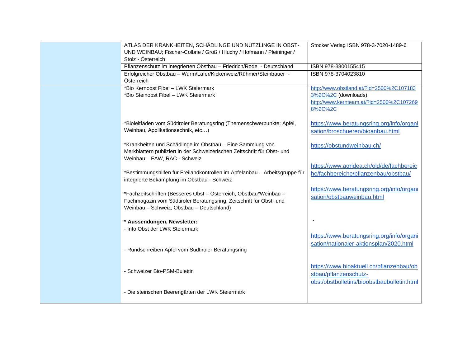| ATLAS DER KRANKHEITEN, SCHÄDLINGE UND NÜTZLINGE IN OBST-                                                                               | Stocker Verlag ISBN 978-3-7020-1489-6      |
|----------------------------------------------------------------------------------------------------------------------------------------|--------------------------------------------|
| UND WEINBAU; Fischer-Colbrie / Groß / Hluchy / Hofmann / Pleininger /                                                                  |                                            |
| Stolz - Österreich                                                                                                                     |                                            |
| Pflanzenschutz im integrierten Obstbau - Friedrich/Rode - Deutschland                                                                  | ISBN 978-3800155415                        |
| Erfolgreicher Obstbau - Wurm/Lafer/Kickenweiz/Rühmer/Steinbauer -<br>Österreich                                                        | ISBN 978-3704023810                        |
| *Bio Kernobst Fibel - LWK Steiermark                                                                                                   | http://www.obstland.at/?id=2500%2C107183   |
| *Bio Steinobst Fibel - LWK Steiermark                                                                                                  | 3%2C%2C (downloads),                       |
|                                                                                                                                        | http://www.kernteam.at/?id=2500%2C107269   |
|                                                                                                                                        | 8%2C%2C                                    |
|                                                                                                                                        |                                            |
| *Bioleitfäden vom Südtiroler Beratungsring (Themenschwerpunkte: Apfel,                                                                 | https://www.beratungsring.org/info/organi  |
| Weinbau, Applikationsechnik, etc)                                                                                                      | sation/broschueren/bioanbau.html           |
|                                                                                                                                        |                                            |
| *Krankheiten und Schädlinge im Obstbau - Eine Sammlung von<br>Merkblättern publiziert in der Schweizerischen Zeitschrift für Obst- und | https://obstundweinbau.ch/                 |
| Weinbau - FAW, RAC - Schweiz                                                                                                           |                                            |
|                                                                                                                                        | https://www.agridea.ch/old/de/fachbereic   |
| *Bestimmungshilfen für Freilandkontrollen im Apfelanbau - Arbeitsgruppe für                                                            | he/fachbereiche/pflanzenbau/obstbau/       |
| integrierte Bekämpfung im Obstbau - Schweiz                                                                                            |                                            |
|                                                                                                                                        | https://www.beratungsring.org/info/organi  |
| *Fachzeitschriften (Besseres Obst - Österreich, Obstbau*Weinbau -                                                                      | sation/obstbauweinbau.html                 |
| Fachmagazin vom Südtiroler Beratungsring, Zeitschrift für Obst- und<br>Weinbau - Schweiz, Obstbau - Deutschland)                       |                                            |
|                                                                                                                                        |                                            |
| * Aussendungen, Newsletter:                                                                                                            |                                            |
| - Info Obst der LWK Steiermark                                                                                                         |                                            |
|                                                                                                                                        | https://www.beratungsring.org/info/organi  |
|                                                                                                                                        | sation/nationaler-aktionsplan/2020.html    |
| - Rundschreiben Apfel vom Südtiroler Beratungsring                                                                                     |                                            |
|                                                                                                                                        |                                            |
| - Schweizer Bio-PSM-Bulettin                                                                                                           | https://www.bioaktuell.ch/pflanzenbau/ob   |
|                                                                                                                                        | stbau/pflanzenschutz-                      |
|                                                                                                                                        | obst/obstbulletins/bioobstbaubulletin.html |
| - Die steirischen Beerengärten der LWK Steiermark                                                                                      |                                            |
|                                                                                                                                        |                                            |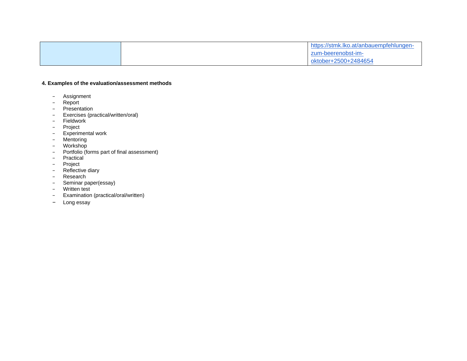|  | https://stmk.lko.at/anbauempfehlungen- |
|--|----------------------------------------|
|  | zum-beerenobst-im-                     |
|  | oktober+2500+2484654                   |

- − Assignment<br>− Report
- − Report<br>− Present
- − Presentation
- − Exercises (practical/written/oral)
- − Fieldwork
- − Project
- − Experimental work
- − Mentoring
- − Workshop
- − Portfolio (forms part of final assessment)
- − Practical
- − Project
- − Reflective diary
- − Research
- − Seminar paper(essay)
- − Written test
- − Examination (practical/oral/written)
- − Long essay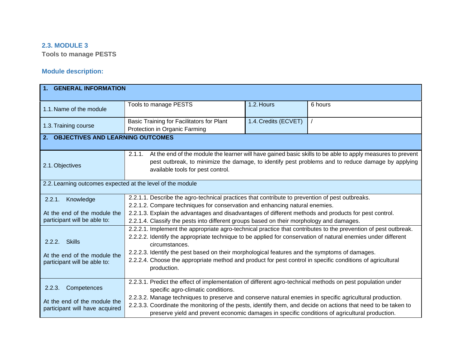### **2.3. MODULE 3**

**Tools to manage PESTS**

| 1. GENERAL INFORMATION                                                                  |                                                                                                                                                                                                                                                                                                                                                                                                                                                                                  |                      |         |  |  |
|-----------------------------------------------------------------------------------------|----------------------------------------------------------------------------------------------------------------------------------------------------------------------------------------------------------------------------------------------------------------------------------------------------------------------------------------------------------------------------------------------------------------------------------------------------------------------------------|----------------------|---------|--|--|
| 1.1. Name of the module                                                                 | Tools to manage PESTS                                                                                                                                                                                                                                                                                                                                                                                                                                                            | 1.2. Hours           | 6 hours |  |  |
| 1.3. Training course                                                                    | Basic Training for Facilitators for Plant<br>Protection in Organic Farming                                                                                                                                                                                                                                                                                                                                                                                                       | 1.4. Credits (ECVET) |         |  |  |
| 2. OBJECTIVES AND LEARNING OUTCOMES                                                     |                                                                                                                                                                                                                                                                                                                                                                                                                                                                                  |                      |         |  |  |
| 2.1. Objectives                                                                         | At the end of the module the learner will have gained basic skills to be able to apply measures to prevent<br>2.1.1.<br>pest outbreak, to minimize the damage, to identify pest problems and to reduce damage by applying<br>available tools for pest control.                                                                                                                                                                                                                   |                      |         |  |  |
| 2.2. Learning outcomes expected at the level of the module                              |                                                                                                                                                                                                                                                                                                                                                                                                                                                                                  |                      |         |  |  |
| Knowledge<br>2.2.1.<br>At the end of the module the<br>participant will be able to:     | 2.2.1.1. Describe the agro-technical practices that contribute to prevention of pest outbreaks.<br>2.2.1.2. Compare techniques for conservation and enhancing natural enemies.<br>2.2.1.3. Explain the advantages and disadvantages of different methods and products for pest control.<br>2.2.1.4. Classify the pests into different groups based on their morphology and damages.                                                                                              |                      |         |  |  |
| <b>Skills</b><br>2.2.2.<br>At the end of the module the<br>participant will be able to: | 2.2.2.1. Implement the appropriate agro-technical practice that contributes to the prevention of pest outbreak.<br>2.2.2.2. Identify the appropriate technique to be applied for conservation of natural enemies under different<br>circumstances.<br>2.2.2.3. Identify the pest based on their morphological features and the symptoms of damages.<br>2.2.2.4. Choose the appropriate method and product for pest control in specific conditions of agricultural<br>production. |                      |         |  |  |
| Competences<br>2.2.3.<br>At the end of the module the<br>participant will have acquired | 2.2.3.1. Predict the effect of implementation of different agro-technical methods on pest population under<br>specific agro-climatic conditions.<br>2.2.3.2. Manage techniques to preserve and conserve natural enemies in specific agricultural production.<br>2.2.3.3. Coordinate the monitoring of the pests, identify them, and decide on actions that need to be taken to<br>preserve yield and prevent economic damages in specific conditions of agricultural production. |                      |         |  |  |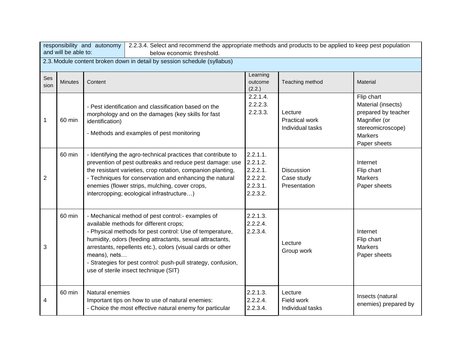| responsibility and autonomy<br>2.2.3.4. Select and recommend the appropriate methods and products to be applied to keep pest population |                      |                                                                                                                                                                             |                                                                                                                                                                                                                                                                                                                                                                                               |                                                                         |                                                      |                                                                                                                                 |
|-----------------------------------------------------------------------------------------------------------------------------------------|----------------------|-----------------------------------------------------------------------------------------------------------------------------------------------------------------------------|-----------------------------------------------------------------------------------------------------------------------------------------------------------------------------------------------------------------------------------------------------------------------------------------------------------------------------------------------------------------------------------------------|-------------------------------------------------------------------------|------------------------------------------------------|---------------------------------------------------------------------------------------------------------------------------------|
|                                                                                                                                         | and will be able to: |                                                                                                                                                                             | below economic threshold.                                                                                                                                                                                                                                                                                                                                                                     |                                                                         |                                                      |                                                                                                                                 |
|                                                                                                                                         |                      |                                                                                                                                                                             | 2.3. Module content broken down in detail by session schedule (syllabus)                                                                                                                                                                                                                                                                                                                      |                                                                         |                                                      |                                                                                                                                 |
| Ses<br>sion                                                                                                                             | <b>Minutes</b>       | Content                                                                                                                                                                     |                                                                                                                                                                                                                                                                                                                                                                                               | Learning<br>outcome<br>(2.2.)                                           | Teaching method                                      | Material                                                                                                                        |
| 1                                                                                                                                       | 60 min               | - Pest identification and classification based on the<br>morphology and on the damages (key skills for fast<br>identification)<br>- Methods and examples of pest monitoring |                                                                                                                                                                                                                                                                                                                                                                                               | 2.2.1.4.<br>2.2.2.3.<br>2.2.3.3.                                        | Lecture<br><b>Practical work</b><br>Individual tasks | Flip chart<br>Material (insects)<br>prepared by teacher<br>Magnifier (or<br>stereomicroscope)<br><b>Markers</b><br>Paper sheets |
| $\overline{2}$                                                                                                                          | 60 min               |                                                                                                                                                                             | - Identifying the agro-technical practices that contribute to<br>prevention of pest outbreaks and reduce pest damage: use<br>the resistant varieties, crop rotation, companion planting,<br>- Techniques for conservation and enhancing the natural<br>enemies (flower strips, mulching, cover crops,<br>intercropping; ecological infrastructure)                                            | 2.2.1.1.<br>2.2.1.2.<br>$2.2.2.1$ .<br>2.2.2.2.<br>2.2.3.1.<br>2.2.3.2. | <b>Discussion</b><br>Case study<br>Presentation      | Internet<br>Flip chart<br><b>Markers</b><br>Paper sheets                                                                        |
| 3                                                                                                                                       | 60 min               | means), nets                                                                                                                                                                | - Mechanical method of pest control:- examples of<br>available methods for different crops;<br>- Physical methods for pest control: Use of temperature,<br>humidity, odors (feeding attractants, sexual attractants,<br>arrestants, repellents etc.), colors (visual cards or other<br>- Strategies for pest control: push-pull strategy, confusion,<br>use of sterile insect technique (SIT) | 2.2.1.3.<br>2.2.2.4.<br>2.2.3.4.                                        | Lecture<br>Group work                                | Internet<br>Flip chart<br><b>Markers</b><br>Paper sheets                                                                        |
| 4                                                                                                                                       | 60 min               | Natural enemies                                                                                                                                                             | Important tips on how to use of natural enemies:<br>- Choice the most effective natural enemy for particular                                                                                                                                                                                                                                                                                  | 2.2.1.3.<br>2.2.2.4.<br>2.2.3.4.                                        | Lecture<br>Field work<br>Individual tasks            | Insects (natural<br>enemies) prepared by                                                                                        |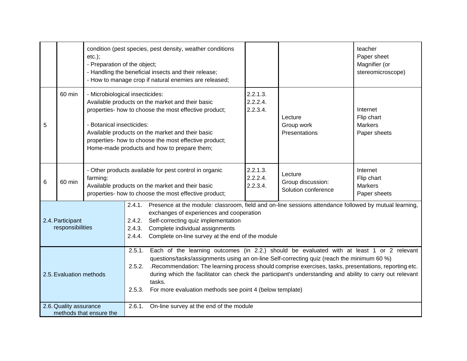|                                      |                        | $etc.$ );<br>- Preparation of the object; | condition (pest species, pest density, weather conditions<br>- Handling the beneficial insects and their release;<br>- How to manage crop if natural enemies are released;                                                                                                                                                                                                                                                                                                                                       |                                  |                                                     | teacher<br>Paper sheet<br>Magnifier (or<br>stereomicroscope) |
|--------------------------------------|------------------------|-------------------------------------------|------------------------------------------------------------------------------------------------------------------------------------------------------------------------------------------------------------------------------------------------------------------------------------------------------------------------------------------------------------------------------------------------------------------------------------------------------------------------------------------------------------------|----------------------------------|-----------------------------------------------------|--------------------------------------------------------------|
| 5                                    | 60 min                 | - Botanical insecticides:                 | - Microbiological insecticides:<br>Available products on the market and their basic<br>properties- how to choose the most effective product;<br>Available products on the market and their basic<br>properties- how to choose the most effective product;<br>Home-made products and how to prepare them;                                                                                                                                                                                                         | 2.2.1.3.<br>2.2.2.4.<br>2.2.3.4. | Lecture<br>Group work<br>Presentations              | Internet<br>Flip chart<br><b>Markers</b><br>Paper sheets     |
| 6                                    | 60 min                 | farming:                                  | - Other products available for pest control in organic<br>Available products on the market and their basic<br>properties- how to choose the most effective product;                                                                                                                                                                                                                                                                                                                                              | 2.2.1.3.<br>2.2.2.4.<br>2.2.3.4. | Lecture<br>Group discussion:<br>Solution conference | Internet<br>Flip chart<br><b>Markers</b><br>Paper sheets     |
| 2.4. Participant<br>responsibilities |                        |                                           | 2.4.1. Presence at the module: classroom, field and on-line sessions attendance followed by mutual learning,<br>exchanges of experiences and cooperation<br>2.4.2. Self-correcting quiz implementation<br>2.4.3. Complete individual assignments<br>2.4.4. Complete on-line survey at the end of the module                                                                                                                                                                                                      |                                  |                                                     |                                                              |
| 2.5. Evaluation methods              |                        |                                           | Each of the learning outcomes (in 2.2.) should be evaluated with at least 1 or 2 relevant<br>2.5.1.<br>questions/tasks/assignments using an on-line Self-correcting quiz (reach the minimum 60 %)<br>.Recommendation: The learning process should comprise exercises, tasks, presentations, reporting etc.<br>2.5.2.<br>during which the facilitator can check the participant's understanding and ability to carry out relevant<br>tasks.<br>For more evaluation methods see point 4 (below template)<br>2.5.3. |                                  |                                                     |                                                              |
|                                      | 2.6. Quality assurance | methods that ensure the                   | 2.6.1.<br>On-line survey at the end of the module                                                                                                                                                                                                                                                                                                                                                                                                                                                                |                                  |                                                     |                                                              |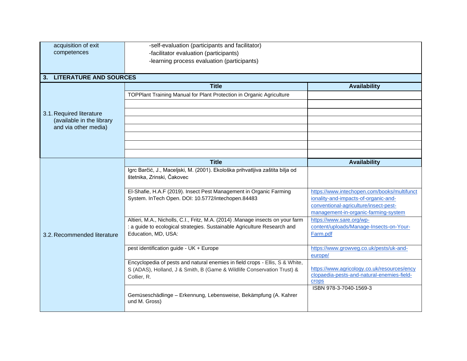| acquisition of exit         | -self-evaluation (participants and facilitator)                                                                          |                                             |  |  |  |  |  |
|-----------------------------|--------------------------------------------------------------------------------------------------------------------------|---------------------------------------------|--|--|--|--|--|
| competences                 |                                                                                                                          |                                             |  |  |  |  |  |
|                             | -facilitator evaluation (participants)                                                                                   |                                             |  |  |  |  |  |
|                             | -learning process evaluation (participants)                                                                              |                                             |  |  |  |  |  |
|                             |                                                                                                                          |                                             |  |  |  |  |  |
| 3. LITERATURE AND SOURCES   |                                                                                                                          |                                             |  |  |  |  |  |
|                             | <b>Title</b>                                                                                                             | <b>Availability</b>                         |  |  |  |  |  |
|                             | TOPPlant Training Manual for Plant Protection in Organic Agriculture                                                     |                                             |  |  |  |  |  |
|                             |                                                                                                                          |                                             |  |  |  |  |  |
| 3.1. Required literature    |                                                                                                                          |                                             |  |  |  |  |  |
| (available in the library   |                                                                                                                          |                                             |  |  |  |  |  |
| and via other media)        |                                                                                                                          |                                             |  |  |  |  |  |
|                             |                                                                                                                          |                                             |  |  |  |  |  |
|                             |                                                                                                                          |                                             |  |  |  |  |  |
|                             | <b>Title</b>                                                                                                             |                                             |  |  |  |  |  |
|                             |                                                                                                                          | <b>Availability</b>                         |  |  |  |  |  |
|                             | Igrc Barčić, J., Maceljski, M. (2001). Ekološka prihvatljiva zaštita bilja od                                            |                                             |  |  |  |  |  |
|                             | štetnika, Zrinski, Čakovec                                                                                               |                                             |  |  |  |  |  |
|                             |                                                                                                                          | https://www.intechopen.com/books/multifunct |  |  |  |  |  |
|                             | El-Shafie, H.A.F (2019). Insect Pest Management in Organic Farming<br>System. InTech Open. DOI: 10.5772/intechopen.84483 |                                             |  |  |  |  |  |
|                             |                                                                                                                          | ionality-and-impacts-of-organic-and-        |  |  |  |  |  |
|                             |                                                                                                                          | conventional-agriculture/insect-pest-       |  |  |  |  |  |
|                             |                                                                                                                          | management-in-organic-farming-system        |  |  |  |  |  |
|                             | Altieri, M.A., Nicholls, C.I., Fritz, M.A. (2014) .Manage insects on your farm                                           | https://www.sare.org/wp-                    |  |  |  |  |  |
|                             | : a guide to ecological strategies. Sustainable Agriculture Research and                                                 | content/uploads/Manage-Insects-on-Your-     |  |  |  |  |  |
| 3.2. Recommended literature | Education, MD, USA:                                                                                                      | Farm.pdf                                    |  |  |  |  |  |
|                             |                                                                                                                          |                                             |  |  |  |  |  |
|                             | pest identification guide - UK + Europe                                                                                  | https://www.growveg.co.uk/pests/uk-and-     |  |  |  |  |  |
|                             |                                                                                                                          | europe/                                     |  |  |  |  |  |
|                             | Encyclopedia of pests and natural enemies in field crops - Ellis, S & White,                                             |                                             |  |  |  |  |  |
|                             | S (ADAS), Holland, J & Smith, B (Game & Wildlife Conservation Trust) &                                                   | https://www.agricology.co.uk/resources/ency |  |  |  |  |  |
|                             | Collier, R.                                                                                                              | clopaedia-pests-and-natural-enemies-field-  |  |  |  |  |  |
|                             |                                                                                                                          | <b>Crops</b>                                |  |  |  |  |  |
|                             |                                                                                                                          | ISBN 978-3-7040-1569-3                      |  |  |  |  |  |
|                             | Gemüseschädlinge - Erkennung, Lebensweise, Bekämpfung (A. Kahrer                                                         |                                             |  |  |  |  |  |
|                             | und M. Gross)                                                                                                            |                                             |  |  |  |  |  |
|                             |                                                                                                                          |                                             |  |  |  |  |  |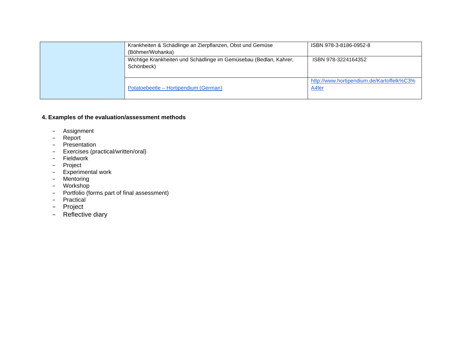| Krankheiten & Schädlinge an Zierpflanzen, Obst und Gemüse<br>(Böhmer/Wohanka)   | ISBN 978-3-8186-0952-8                             |
|---------------------------------------------------------------------------------|----------------------------------------------------|
| Wichtige Krankheiten und Schädlinge im Gemüsebau (Bedlan, Kahrer,<br>Schönbeck) | ISBN 978-3224164352                                |
| Potatoebeetle – Hortipendium (German)                                           | http://www.hortipendium.de/Kartoffelk%C3%<br>A4fer |

- − Assignment
- − Report
- − Presentation
- − Exercises (practical/written/oral)
- − Fieldwork
- − Project
- − Experimental work
- − Mentoring
- − Workshop
- − Portfolio (forms part of final assessment)
- − Practical
- − Project
- − Reflective diary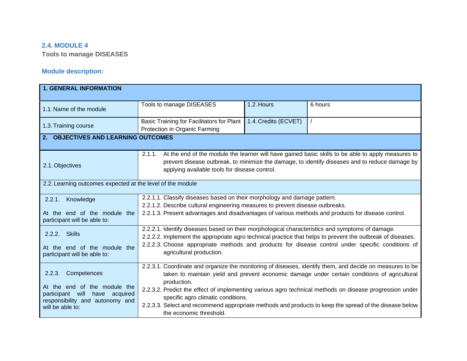### **2.4. MODULE 4**

**Tools to manage DISEASES**

| <b>1. GENERAL INFORMATION</b>                                                                                                                           |                                                                                                                                                                                                                                                                                                                                                                                                                                                                                                               |                      |         |  |  |
|---------------------------------------------------------------------------------------------------------------------------------------------------------|---------------------------------------------------------------------------------------------------------------------------------------------------------------------------------------------------------------------------------------------------------------------------------------------------------------------------------------------------------------------------------------------------------------------------------------------------------------------------------------------------------------|----------------------|---------|--|--|
| 1.1. Name of the module                                                                                                                                 | Tools to manage DISEASES                                                                                                                                                                                                                                                                                                                                                                                                                                                                                      | 1.2. Hours           | 6 hours |  |  |
| 1.3. Training course                                                                                                                                    | Basic Training for Facilitators for Plant<br>Protection in Organic Farming                                                                                                                                                                                                                                                                                                                                                                                                                                    | 1.4. Credits (ECVET) |         |  |  |
| 2. OBJECTIVES AND LEARNING OUTCOMES                                                                                                                     |                                                                                                                                                                                                                                                                                                                                                                                                                                                                                                               |                      |         |  |  |
| 2.1. Objectives                                                                                                                                         | At the end of the module the learner will have gained basic skills to be able to apply measures to<br>2.1.1.<br>prevent disease outbreak, to minimize the damage, to identify diseases and to reduce damage by<br>applying available tools for disease control.                                                                                                                                                                                                                                               |                      |         |  |  |
| 2.2. Learning outcomes expected at the level of the module                                                                                              |                                                                                                                                                                                                                                                                                                                                                                                                                                                                                                               |                      |         |  |  |
| Knowledge<br>2.2.1.<br>At the end of the module the<br>participant will be able to:                                                                     | 2.2.1.1. Classify diseases based on their morphology and damage pattern.<br>2.2.1.2. Describe cultural engineering measures to prevent disease outbreaks.<br>2.2.1.3. Present advantages and disadvantages of various methods and products for disease control.                                                                                                                                                                                                                                               |                      |         |  |  |
| <b>Skills</b><br>2.2.2.<br>At the end of the module the<br>participant will be able to:                                                                 | 2.2.2.1. Identify diseases based on their morphological characteristics and symptoms of damage.<br>2.2.2.2. Implement the appropriate agro technical practice that helps to prevent the outbreak of diseases.<br>2.2.2.3. Choose appropriate methods and products for disease control under specific conditions of<br>agricultural production.                                                                                                                                                                |                      |         |  |  |
| 2.2.3.<br>Competences<br>At the end of the module the<br>acquired<br>participant<br>will<br>have<br>responsibility and autonomy and<br>will be able to: | 2.2.3.1. Coordinate and organize the monitoring of diseases, identify them, and decide on measures to be<br>taken to maintain yield and prevent economic damage under certain conditions of agricultural<br>production.<br>2.2.3.2. Predict the effect of implementing various agro technical methods on disease progression under<br>specific agro climatic conditions.<br>2.2.3.3. Select and recommend appropriate methods and products to keep the spread of the disease below<br>the economic threshold. |                      |         |  |  |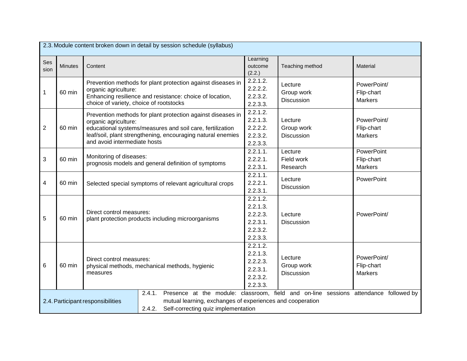| 2.3. Module content broken down in detail by session schedule (syllabus) |                |                                                                                                                                                                                                                                                 |                                                |                                                                                                                                                                                          |                                            |                                             |
|--------------------------------------------------------------------------|----------------|-------------------------------------------------------------------------------------------------------------------------------------------------------------------------------------------------------------------------------------------------|------------------------------------------------|------------------------------------------------------------------------------------------------------------------------------------------------------------------------------------------|--------------------------------------------|---------------------------------------------|
| Ses<br>sion                                                              | <b>Minutes</b> | Content                                                                                                                                                                                                                                         |                                                | Learning<br>outcome<br>(2.2.)                                                                                                                                                            | Teaching method                            | Material                                    |
| $\mathbf{1}$                                                             | 60 min         | Prevention methods for plant protection against diseases in<br>organic agriculture:<br>Enhancing resilience and resistance: choice of location,<br>choice of variety, choice of rootstocks                                                      |                                                | 2.2.1.2.<br>2.2.2.2.<br>2.2.3.2.<br>2.2.3.3.                                                                                                                                             | Lecture<br>Group work<br><b>Discussion</b> | PowerPoint/<br>Flip-chart<br><b>Markers</b> |
| $\overline{2}$                                                           | 60 min         | Prevention methods for plant protection against diseases in<br>organic agriculture:<br>educational systems/measures and soil care, fertilization<br>leaf/soil, plant strengthening, encouraging natural enemies<br>and avoid intermediate hosts |                                                | 2.2.1.2.<br>2.2.1.3.<br>2.2.2.2.<br>2.2.3.2.<br>2.2.3.3.                                                                                                                                 | Lecture<br>Group work<br>Discussion        | PowerPoint/<br>Flip-chart<br><b>Markers</b> |
| 3                                                                        | 60 min         | Monitoring of diseases:<br>prognosis models and general definition of symptoms                                                                                                                                                                  |                                                | 2.2.1.1.<br>2.2.2.1.<br>2.2.3.1.                                                                                                                                                         | Lecture<br>Field work<br>Research          | PowerPoint<br>Flip-chart<br><b>Markers</b>  |
| 4                                                                        | 60 min         | Selected special symptoms of relevant agricultural crops                                                                                                                                                                                        |                                                | 2.2.1.1.<br>2.2.2.1.<br>2.2.3.1.                                                                                                                                                         | Lecture<br><b>Discussion</b>               | PowerPoint                                  |
| 5                                                                        | 60 min         | Direct control measures:<br>plant protection products including microorganisms                                                                                                                                                                  |                                                | 2.2.1.2.<br>2.2.1.3.<br>2.2.2.3.<br>2.2.3.1.<br>2.2.3.2.<br>2.2.3.3.                                                                                                                     | Lecture<br><b>Discussion</b>               | PowerPoint/                                 |
| 6                                                                        | 60 min         | Direct control measures:<br>measures                                                                                                                                                                                                            | physical methods, mechanical methods, hygienic | 2.2.1.2.<br>2.2.1.3.<br>2.2.2.3.<br>2.2.3.1.<br>2.2.3.2.<br>2.2.3.3.                                                                                                                     | Lecture<br>Group work<br><b>Discussion</b> | PowerPoint/<br>Flip-chart<br><b>Markers</b> |
| 2.4. Participant responsibilities                                        |                |                                                                                                                                                                                                                                                 | 2.4.1.<br>2.4.2.                               | Presence at the module: classroom, field and on-line sessions attendance followed by<br>mutual learning, exchanges of experiences and cooperation<br>Self-correcting quiz implementation |                                            |                                             |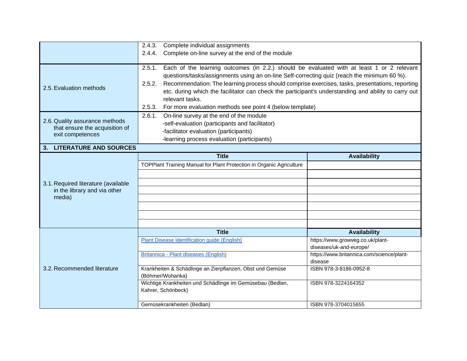|                                                                                                                                                                                                                                                                                                                                                                                                                                                                                                                                             | 2.4.3.<br>Complete individual assignments                                                                                                                                                     |                                                             |  |  |  |
|---------------------------------------------------------------------------------------------------------------------------------------------------------------------------------------------------------------------------------------------------------------------------------------------------------------------------------------------------------------------------------------------------------------------------------------------------------------------------------------------------------------------------------------------|-----------------------------------------------------------------------------------------------------------------------------------------------------------------------------------------------|-------------------------------------------------------------|--|--|--|
|                                                                                                                                                                                                                                                                                                                                                                                                                                                                                                                                             | Complete on-line survey at the end of the module<br>2.4.4.                                                                                                                                    |                                                             |  |  |  |
| Each of the learning outcomes (in 2.2.) should be evaluated with at least 1 or 2 relevant<br>2.5.1.<br>questions/tasks/assignments using an on-line Self-correcting quiz (reach the minimum 60 %).<br>Recommendation: The learning process should comprise exercises, tasks, presentations, reporting<br>2.5.2.<br>2.5. Evaluation methods<br>etc. during which the facilitator can check the participant's understanding and ability to carry out<br>relevant tasks.<br>For more evaluation methods see point 4 (below template)<br>2.5.3. |                                                                                                                                                                                               |                                                             |  |  |  |
| 2.6. Quality assurance methods<br>that ensure the acquisition of<br>exit competences                                                                                                                                                                                                                                                                                                                                                                                                                                                        | On-line survey at the end of the module<br>2.6.1.<br>-self-evaluation (participants and facilitator)<br>-facilitator evaluation (participants)<br>-learning process evaluation (participants) |                                                             |  |  |  |
| 3. LITERATURE AND SOURCES                                                                                                                                                                                                                                                                                                                                                                                                                                                                                                                   |                                                                                                                                                                                               |                                                             |  |  |  |
| 3.1. Required literature (available<br>in the library and via other<br>media)                                                                                                                                                                                                                                                                                                                                                                                                                                                               | <b>Title</b><br>TOPPlant Training Manual for Plant Protection in Organic Agriculture                                                                                                          | <b>Availability</b>                                         |  |  |  |
|                                                                                                                                                                                                                                                                                                                                                                                                                                                                                                                                             | <b>Title</b>                                                                                                                                                                                  | <b>Availability</b>                                         |  |  |  |
|                                                                                                                                                                                                                                                                                                                                                                                                                                                                                                                                             | Plant Disease identification guide (English)                                                                                                                                                  | https://www.growveg.co.uk/plant-<br>diseases/uk-and-europe/ |  |  |  |
|                                                                                                                                                                                                                                                                                                                                                                                                                                                                                                                                             | Britannica - Plant diseases (English)                                                                                                                                                         | https://www.britannica.com/science/plant-<br>disease        |  |  |  |
| 3.2. Recommended literature                                                                                                                                                                                                                                                                                                                                                                                                                                                                                                                 | Krankheiten & Schädlinge an Zierpflanzen, Obst und Gemüse<br>(Böhmer/Wohanka)                                                                                                                 | ISBN 978-3-8186-0952-8                                      |  |  |  |
|                                                                                                                                                                                                                                                                                                                                                                                                                                                                                                                                             | Wichtige Krankheiten und Schädlinge im Gemüsebau (Bedlan,<br>Kahrer, Schönbeck)                                                                                                               | ISBN 978-3224164352                                         |  |  |  |
|                                                                                                                                                                                                                                                                                                                                                                                                                                                                                                                                             | Gemüsekrankheiten (Bedlan)                                                                                                                                                                    | ISBN 978-3704015655                                         |  |  |  |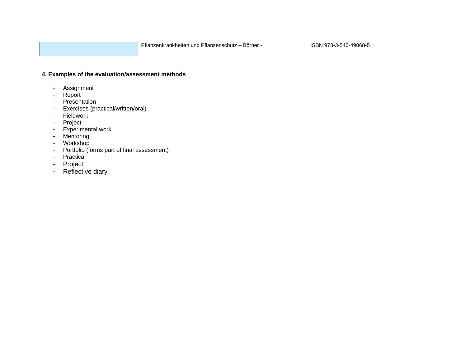| Pflanzenkrankheiten u<br>$\sim$<br><u>z – Börner</u><br>l Pflanzenschutz<br>ำ und . | 978-3-540-49068-5<br>ISBN |
|-------------------------------------------------------------------------------------|---------------------------|
|                                                                                     |                           |

- − Assignment
- − Report
- − Presentation
- − Exercises (practical/written/oral)
- − Fieldwork
- − Project
- − Experimental work
- − Mentoring
- − Workshop
- − Portfolio (forms part of final assessment)
- Practical
- − Project
- − Reflective diary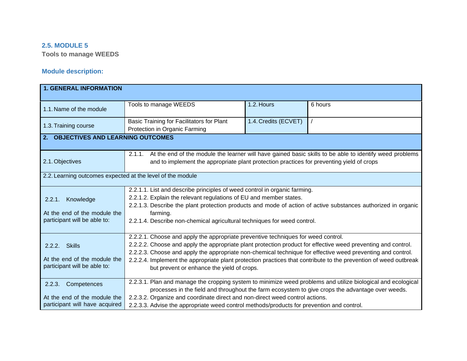### **2.5. MODULE 5**

**Tools to manage WEEDS**

| <b>1. GENERAL INFORMATION</b>                                                           |                                                                                                                                                                                                                                                                                                                                                                                                                                                                                     |                      |                                                                                                         |  |  |  |
|-----------------------------------------------------------------------------------------|-------------------------------------------------------------------------------------------------------------------------------------------------------------------------------------------------------------------------------------------------------------------------------------------------------------------------------------------------------------------------------------------------------------------------------------------------------------------------------------|----------------------|---------------------------------------------------------------------------------------------------------|--|--|--|
| 1.1. Name of the module                                                                 | Tools to manage WEEDS                                                                                                                                                                                                                                                                                                                                                                                                                                                               | 1.2. Hours           | 6 hours                                                                                                 |  |  |  |
| 1.3. Training course                                                                    | Basic Training for Facilitators for Plant<br>Protection in Organic Farming                                                                                                                                                                                                                                                                                                                                                                                                          | 1.4. Credits (ECVET) |                                                                                                         |  |  |  |
| 2. OBJECTIVES AND LEARNING OUTCOMES                                                     |                                                                                                                                                                                                                                                                                                                                                                                                                                                                                     |                      |                                                                                                         |  |  |  |
| 2.1. Objectives                                                                         | 2.1.1.<br>and to implement the appropriate plant protection practices for preventing yield of crops                                                                                                                                                                                                                                                                                                                                                                                 |                      | At the end of the module the learner will have gained basic skills to be able to identify weed problems |  |  |  |
| 2.2. Learning outcomes expected at the level of the module                              |                                                                                                                                                                                                                                                                                                                                                                                                                                                                                     |                      |                                                                                                         |  |  |  |
| Knowledge<br>2.2.1.<br>At the end of the module the<br>participant will be able to:     | 2.2.1.1. List and describe principles of weed control in organic farming.<br>2.2.1.2. Explain the relevant regulations of EU and member states.<br>2.2.1.3. Describe the plant protection products and mode of action of active substances authorized in organic<br>farming.<br>2.2.1.4. Describe non-chemical agricultural techniques for weed control.                                                                                                                            |                      |                                                                                                         |  |  |  |
| 2.2.2. Skills<br>At the end of the module the<br>participant will be able to:           | 2.2.2.1. Choose and apply the appropriate preventive techniques for weed control.<br>2.2.2.2. Choose and apply the appropriate plant protection product for effective weed preventing and control.<br>2.2.2.3. Choose and apply the appropriate non-chemical technique for effective weed preventing and control.<br>2.2.2.4. Implement the appropriate plant protection practices that contribute to the prevention of weed outbreak<br>but prevent or enhance the yield of crops. |                      |                                                                                                         |  |  |  |
| Competences<br>2.2.3.<br>At the end of the module the<br>participant will have acquired | 2.2.3.1. Plan and manage the cropping system to minimize weed problems and utilize biological and ecological<br>processes in the field and throughout the farm ecosystem to give crops the advantage over weeds.<br>2.2.3.2. Organize and coordinate direct and non-direct weed control actions.<br>2.2.3.3. Advise the appropriate weed control methods/products for prevention and control.                                                                                       |                      |                                                                                                         |  |  |  |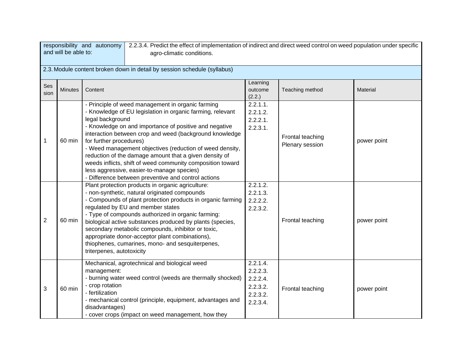|                | 2.2.3.4. Predict the effect of implementation of indirect and direct weed control on weed population under specific<br>responsibility and autonomy<br>and will be able to:<br>agro-climatic conditions. |                                                                     |                                                                                                                                                                                                                                                                                                                                                                                                                                                                                                                               |                                                                      |                                     |             |  |  |
|----------------|---------------------------------------------------------------------------------------------------------------------------------------------------------------------------------------------------------|---------------------------------------------------------------------|-------------------------------------------------------------------------------------------------------------------------------------------------------------------------------------------------------------------------------------------------------------------------------------------------------------------------------------------------------------------------------------------------------------------------------------------------------------------------------------------------------------------------------|----------------------------------------------------------------------|-------------------------------------|-------------|--|--|
|                | 2.3. Module content broken down in detail by session schedule (syllabus)                                                                                                                                |                                                                     |                                                                                                                                                                                                                                                                                                                                                                                                                                                                                                                               |                                                                      |                                     |             |  |  |
| Ses<br>sion    | <b>Minutes</b>                                                                                                                                                                                          | Content                                                             |                                                                                                                                                                                                                                                                                                                                                                                                                                                                                                                               | Learning<br>outcome<br>(2.2.)                                        | Teaching method                     | Material    |  |  |
| 1              | 60 min                                                                                                                                                                                                  | legal background<br>for further procedures)                         | - Principle of weed management in organic farming<br>- Knowledge of EU legislation in organic farming, relevant<br>- Knowledge on and importance of positive and negative<br>interaction between crop and weed (background knowledge<br>- Weed management objectives (reduction of weed density,<br>reduction of the damage amount that a given density of<br>weeds inflicts, shift of weed community composition toward<br>less aggressive, easier-to-manage species)<br>- Difference between preventive and control actions | 2.2.1.1.<br>2.2.1.2.<br>2.2.2.1.<br>2.2.3.1.                         | Frontal teaching<br>Plenary session | power point |  |  |
| $\overline{2}$ | 60 min                                                                                                                                                                                                  | triterpenes, autotoxicity                                           | Plant protection products in organic agriculture:<br>- non-synthetic, natural originated compounds<br>- Compounds of plant protection products in organic farming<br>regulated by EU and member states<br>- Type of compounds authorized in organic farming:<br>biological active substances produced by plants (species,<br>secondary metabolic compounds, inhibitor or toxic,<br>appropriate donor-acceptor plant combinations),<br>thiophenes, cumarines, mono- and sesquiterpenes,                                        | 2.2.1.2.<br>2.2.1.3.<br>2.2.2.2.<br>2.2.3.2.                         | Frontal teaching                    | power point |  |  |
| 3              | 60 min                                                                                                                                                                                                  | management:<br>- crop rotation<br>- fertilization<br>disadvantages) | Mechanical, agrotechnical and biological weed<br>- burning water weed control (weeds are thermally shocked)<br>- mechanical control (principle, equipment, advantages and<br>- cover crops (impact on weed management, how they                                                                                                                                                                                                                                                                                               | 2.2.1.4.<br>2.2.2.3.<br>2.2.2.4.<br>2.2.3.2.<br>2.2.3.2.<br>2.2.3.4. | Frontal teaching                    | power point |  |  |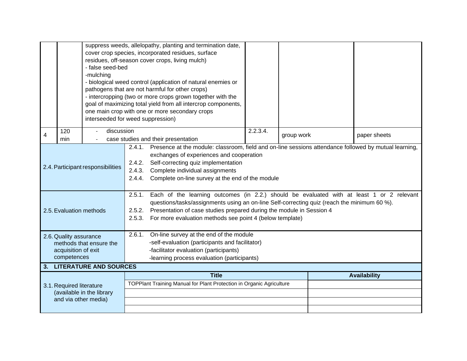|                                                    |                          |                                                 | suppress weeds, allelopathy, planting and termination date,                                         |                                                                                                       |          |            |  |                     |
|----------------------------------------------------|--------------------------|-------------------------------------------------|-----------------------------------------------------------------------------------------------------|-------------------------------------------------------------------------------------------------------|----------|------------|--|---------------------|
| cover crop species, incorporated residues, surface |                          |                                                 |                                                                                                     |                                                                                                       |          |            |  |                     |
|                                                    |                          | residues, off-season cover crops, living mulch) |                                                                                                     |                                                                                                       |          |            |  |                     |
|                                                    |                          | - false seed-bed                                |                                                                                                     |                                                                                                       |          |            |  |                     |
|                                                    |                          | -mulching                                       |                                                                                                     |                                                                                                       |          |            |  |                     |
|                                                    |                          |                                                 |                                                                                                     | - biological weed control (application of natural enemies or                                          |          |            |  |                     |
|                                                    |                          |                                                 |                                                                                                     | pathogens that are not harmful for other crops)                                                       |          |            |  |                     |
|                                                    |                          |                                                 |                                                                                                     | - intercropping (two or more crops grown together with the                                            |          |            |  |                     |
|                                                    |                          |                                                 |                                                                                                     | goal of maximizing total yield from all intercrop components,                                         |          |            |  |                     |
|                                                    |                          |                                                 |                                                                                                     | one main crop with one or more secondary crops                                                        |          |            |  |                     |
|                                                    |                          | interseeded for weed suppression)               |                                                                                                     |                                                                                                       |          |            |  |                     |
|                                                    | 120                      | discussion                                      |                                                                                                     |                                                                                                       | 2.2.3.4. |            |  |                     |
| 4                                                  | min                      |                                                 |                                                                                                     | case studies and their presentation                                                                   |          | group work |  | paper sheets        |
|                                                    |                          |                                                 | 2.4.1.                                                                                              | Presence at the module: classroom, field and on-line sessions attendance followed by mutual learning, |          |            |  |                     |
|                                                    |                          |                                                 | exchanges of experiences and cooperation                                                            |                                                                                                       |          |            |  |                     |
|                                                    |                          |                                                 | Self-correcting quiz implementation<br>2.4.2.                                                       |                                                                                                       |          |            |  |                     |
|                                                    |                          | 2.4. Participant responsibilities               | Complete individual assignments<br>2.4.3.                                                           |                                                                                                       |          |            |  |                     |
|                                                    |                          |                                                 | Complete on-line survey at the end of the module<br>2.4.4.                                          |                                                                                                       |          |            |  |                     |
|                                                    |                          |                                                 |                                                                                                     |                                                                                                       |          |            |  |                     |
|                                                    |                          |                                                 | Each of the learning outcomes (in 2.2.) should be evaluated with at least 1 or 2 relevant<br>2.5.1. |                                                                                                       |          |            |  |                     |
|                                                    |                          |                                                 | questions/tasks/assignments using an on-line Self-correcting quiz (reach the minimum 60 %).         |                                                                                                       |          |            |  |                     |
|                                                    | 2.5. Evaluation methods  |                                                 | 2.5.2. Presentation of case studies prepared during the module in Session 4                         |                                                                                                       |          |            |  |                     |
|                                                    |                          |                                                 | For more evaluation methods see point 4 (below template)<br>2.5.3.                                  |                                                                                                       |          |            |  |                     |
|                                                    |                          |                                                 |                                                                                                     |                                                                                                       |          |            |  |                     |
|                                                    | 2.6. Quality assurance   |                                                 | 2.6.1. On-line survey at the end of the module                                                      |                                                                                                       |          |            |  |                     |
|                                                    |                          | methods that ensure the                         | -self-evaluation (participants and facilitator)                                                     |                                                                                                       |          |            |  |                     |
|                                                    | acquisition of exit      |                                                 | -facilitator evaluation (participants)                                                              |                                                                                                       |          |            |  |                     |
|                                                    | competences              |                                                 | -learning process evaluation (participants)                                                         |                                                                                                       |          |            |  |                     |
| 3.                                                 |                          | <b>LITERATURE AND SOURCES</b>                   |                                                                                                     |                                                                                                       |          |            |  |                     |
|                                                    |                          |                                                 |                                                                                                     | <b>Title</b>                                                                                          |          |            |  | <b>Availability</b> |
|                                                    | 3.1. Required literature |                                                 |                                                                                                     | TOPPlant Training Manual for Plant Protection in Organic Agriculture                                  |          |            |  |                     |
|                                                    |                          | (available in the library                       |                                                                                                     |                                                                                                       |          |            |  |                     |
|                                                    |                          | and via other media)                            |                                                                                                     |                                                                                                       |          |            |  |                     |
|                                                    |                          |                                                 |                                                                                                     |                                                                                                       |          |            |  |                     |